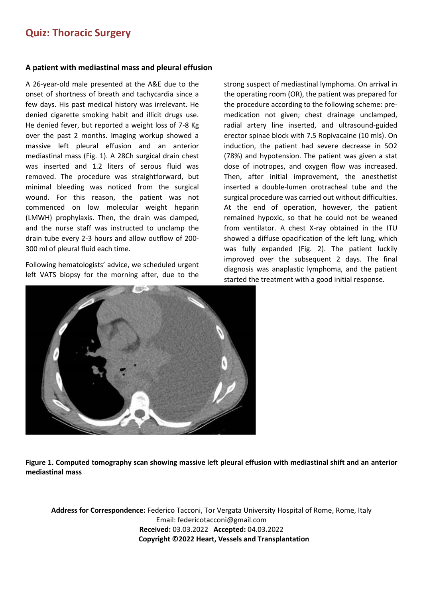## **Quiz: Thoracic Surgery**

## **A patient with mediastinal mass and pleural effusion**

A 26-year-old male presented at the A&E due to the onset of shortness of breath and tachycardia since a few days. His past medical history was irrelevant. He denied cigarette smoking habit and illicit drugs use. He denied fever, but reported a weight loss of 7-8 Kg over the past 2 months. Imaging workup showed a massive left pleural effusion and an anterior mediastinal mass (Fig. 1). A 28Ch surgical drain chest was inserted and 1.2 liters of serous fluid was removed. The procedure was straightforward, but minimal bleeding was noticed from the surgical wound. For this reason, the patient was not commenced on low molecular weight heparin (LMWH) prophylaxis. Then, the drain was clamped, and the nurse staff was instructed to unclamp the drain tube every 2-3 hours and allow outflow of 200- 300 ml of pleural fluid each time.

Following hematologists' advice, we scheduled urgent left VATS biopsy for the morning after, due to the

strong suspect of mediastinal lymphoma. On arrival in the operating room (OR), the patient was prepared for the procedure according to the following scheme: premedication not given; chest drainage unclamped, radial artery line inserted, and ultrasound-guided erector spinae block with 7.5 Ropivacaine (10 mls). On induction, the patient had severe decrease in SO2 (78%) and hypotension. The patient was given a stat dose of inotropes, and oxygen flow was increased. Then, after initial improvement, the anesthetist inserted a double-lumen orotracheal tube and the surgical procedure was carried out without difficulties. At the end of operation, however, the patient remained hypoxic, so that he could not be weaned from ventilator. A chest X-ray obtained in the ITU showed a diffuse opacification of the left lung, which was fully expanded (Fig. 2). The patient luckily improved over the subsequent 2 days. The final diagnosis was anaplastic lymphoma, and the patient started the treatment with a good initial response.



**Figure 1. Computed tomography scan showing massive left pleural effusion with mediastinal shift and an anterior mediastinal mass**

**Address for Correspondence:** Federico Tacconi, Tor Vergata University Hospital of Rome, Rome, Italy Email: federicotacconi@gmail.com **Received:** 03.03.2022 **Accepted:** 04.03**.**2022 **Copyright ©2022 Heart, Vessels and Transplantation**